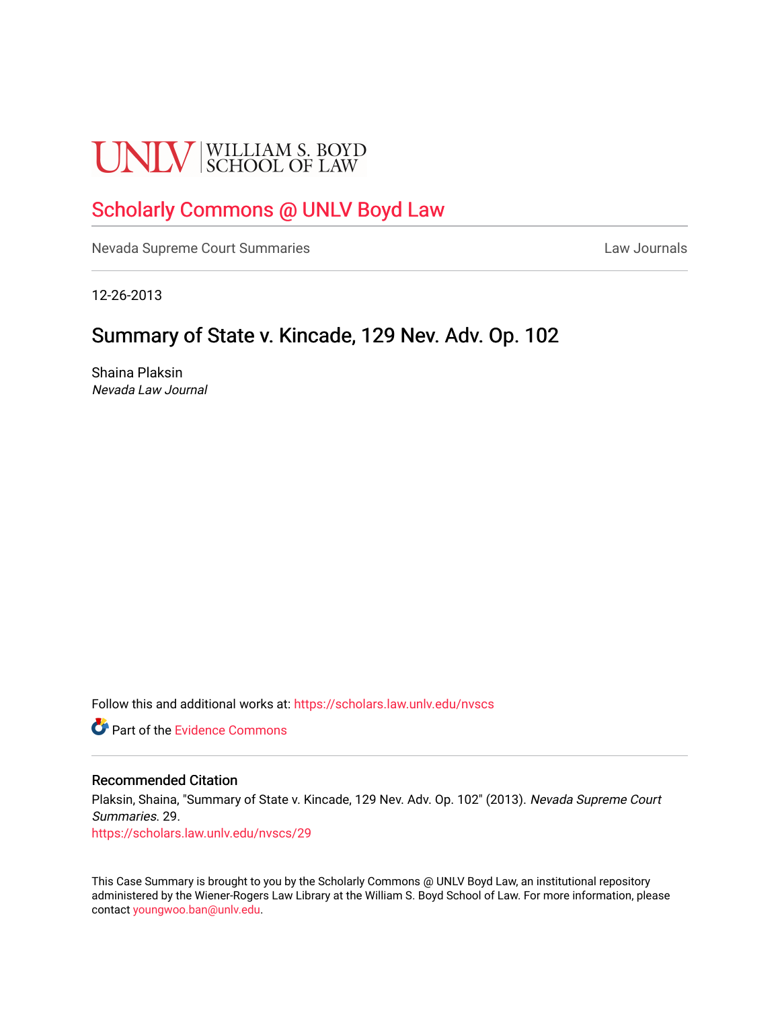# **UNLV** SCHOOL OF LAW

## [Scholarly Commons @ UNLV Boyd Law](https://scholars.law.unlv.edu/)

[Nevada Supreme Court Summaries](https://scholars.law.unlv.edu/nvscs) **Law Journals** Law Journals

12-26-2013

# Summary of State v. Kincade, 129 Nev. Adv. Op. 102

Shaina Plaksin Nevada Law Journal

Follow this and additional works at: [https://scholars.law.unlv.edu/nvscs](https://scholars.law.unlv.edu/nvscs?utm_source=scholars.law.unlv.edu%2Fnvscs%2F29&utm_medium=PDF&utm_campaign=PDFCoverPages)

**C** Part of the Evidence Commons

#### Recommended Citation

Plaksin, Shaina, "Summary of State v. Kincade, 129 Nev. Adv. Op. 102" (2013). Nevada Supreme Court Summaries. 29.

[https://scholars.law.unlv.edu/nvscs/29](https://scholars.law.unlv.edu/nvscs/29?utm_source=scholars.law.unlv.edu%2Fnvscs%2F29&utm_medium=PDF&utm_campaign=PDFCoverPages) 

This Case Summary is brought to you by the Scholarly Commons @ UNLV Boyd Law, an institutional repository administered by the Wiener-Rogers Law Library at the William S. Boyd School of Law. For more information, please contact [youngwoo.ban@unlv.edu](mailto:youngwoo.ban@unlv.edu).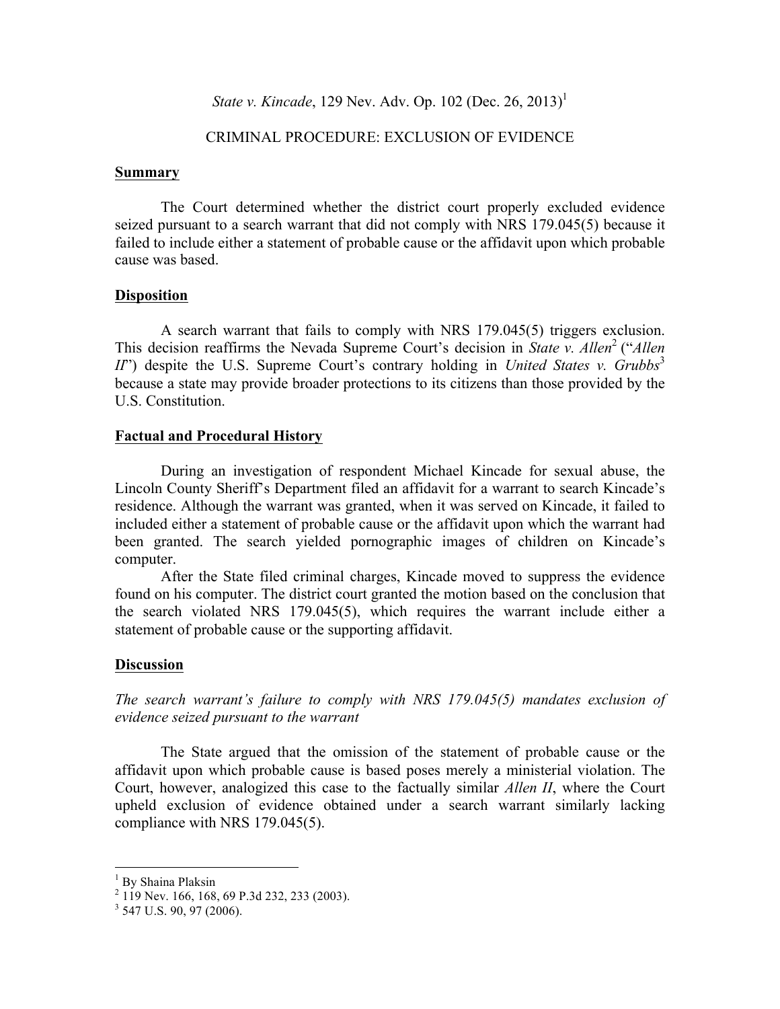*State v. Kincade*, 129 Nev. Adv. Op. 102 (Dec. 26, 2013)<sup>1</sup>

### CRIMINAL PROCEDURE: EXCLUSION OF EVIDENCE

#### **Summary**

The Court determined whether the district court properly excluded evidence seized pursuant to a search warrant that did not comply with NRS 179.045(5) because it failed to include either a statement of probable cause or the affidavit upon which probable cause was based.

#### **Disposition**

A search warrant that fails to comply with NRS 179.045(5) triggers exclusion. This decision reaffirms the Nevada Supreme Court's decision in *State v. Allen*<sup>2</sup> ("*Allen*  $I\!I\!I$ <sup>\*</sup>) despite the U.S. Supreme Court's contrary holding in *United States v. Grubbs*<sup>3</sup> because a state may provide broader protections to its citizens than those provided by the U.S. Constitution.

### **Factual and Procedural History**

During an investigation of respondent Michael Kincade for sexual abuse, the Lincoln County Sheriff's Department filed an affidavit for a warrant to search Kincade's residence. Although the warrant was granted, when it was served on Kincade, it failed to included either a statement of probable cause or the affidavit upon which the warrant had been granted. The search yielded pornographic images of children on Kincade's computer.

After the State filed criminal charges, Kincade moved to suppress the evidence found on his computer. The district court granted the motion based on the conclusion that the search violated NRS 179.045(5), which requires the warrant include either a statement of probable cause or the supporting affidavit.

## **Discussion**

*The search warrant's failure to comply with NRS 179.045(5) mandates exclusion of evidence seized pursuant to the warrant*

The State argued that the omission of the statement of probable cause or the affidavit upon which probable cause is based poses merely a ministerial violation. The Court, however, analogized this case to the factually similar *Allen II*, where the Court upheld exclusion of evidence obtained under a search warrant similarly lacking compliance with NRS 179.045(5).

<sup>&</sup>lt;sup>1</sup> By Shaina Plaksin

<sup>2</sup> 119 Nev. 166, 168, 69 P.3d 232, 233 (2003).

 $3$  547 U.S. 90, 97 (2006).